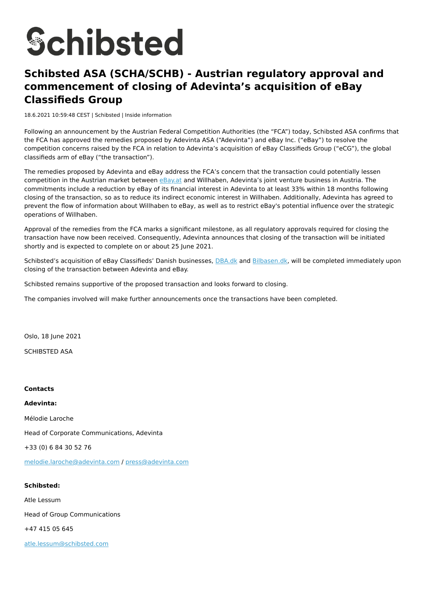# **Schibsted**

# **Schibsted ASA (SCHA/SCHB) - Austrian regulatory approval and commencement of closing of Adevinta's acquisition of eBay Classifieds Group**

18.6.2021 10:59:48 CEST | Schibsted | Inside information

Following an announcement by the Austrian Federal Competition Authorities (the "FCA") today, Schibsted ASA confirms that the FCA has approved the remedies proposed by Adevinta ASA ("Adevinta") and eBay Inc. ("eBay") to resolve the competition concerns raised by the FCA in relation to Adevinta's acquisition of eBay Classifieds Group ("eCG"), the global classifieds arm of eBay ("the transaction").

The remedies proposed by Adevinta and eBay address the FCA's concern that the transaction could potentially lessen competition in the Austrian market between [eBay.at](http://ebay.at/) and Willhaben, Adevinta's joint venture business in Austria. The commitments include a reduction by eBay of its financial interest in Adevinta to at least 33% within 18 months following closing of the transaction, so as to reduce its indirect economic interest in Willhaben. Additionally, Adevinta has agreed to prevent the flow of information about Willhaben to eBay, as well as to restrict eBay's potential influence over the strategic operations of Willhaben.

Approval of the remedies from the FCA marks a significant milestone, as all regulatory approvals required for closing the transaction have now been received. Consequently, Adevinta announces that closing of the transaction will be initiated shortly and is expected to complete on or about 25 June 2021.

Schibsted's acquisition of eBay Classifieds' Danish businesses, **[DBA.dk](http://dba.dk/)** and [Bilbasen.dk,](http://bilbasen.dk/) will be completed immediately upon closing of the transaction between Adevinta and eBay.

Schibsted remains supportive of the proposed transaction and looks forward to closing.

The companies involved will make further announcements once the transactions have been completed.

Oslo, 18 June 2021

SCHIBSTED ASA

#### **Contacts**

**Adevinta:**

Mélodie Laroche

Head of Corporate Communications, Adevinta

+33 (0) 6 84 30 52 76

[melodie.laroche@adevinta.com](mailto:melodie.laroche@adevinta.com) / [press@adevinta.com](mailto:press@adevinta.com)

#### **Schibsted:**

Atle Lessum

Head of Group Communications

+47 415 05 645

[atle.lessum@schibsted.com](mailto:atle.lessum@schibsted.com)